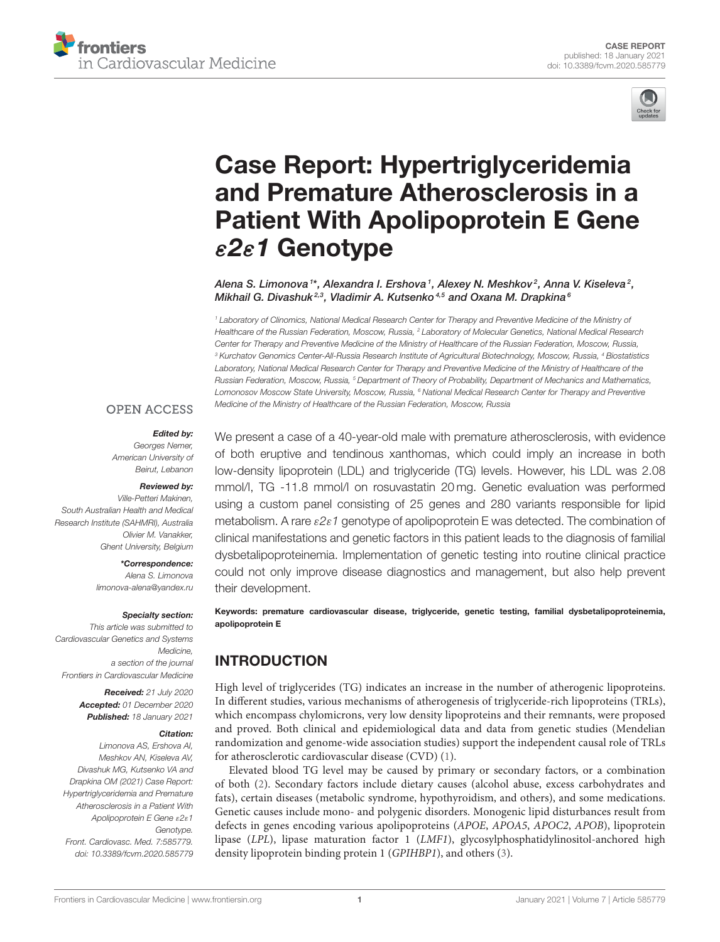



# Case Report: Hypertriglyceridemia and Premature Atherosclerosis in a [Patient With Apolipoprotein E Gene](https://www.frontiersin.org/articles/10.3389/fcvm.2020.585779/full) ε2ε1 Genotype

Alena S. Limonova 1\*, Alexandra I. Ershova <sup>1</sup>, Alexey N. Meshkov <sup>2</sup>, Anna V. Kiseleva <sup>2</sup>, Mikhail G. Divashuk<sup>2,3</sup>, Vladimir A. Kutsenko<sup>4,5</sup> and Oxana M. Drapkina<sup>6</sup>

*<sup>1</sup> Laboratory of Clinomics, National Medical Research Center for Therapy and Preventive Medicine of the Ministry of Healthcare of the Russian Federation, Moscow, Russia, <sup>2</sup> Laboratory of Molecular Genetics, National Medical Research Center for Therapy and Preventive Medicine of the Ministry of Healthcare of the Russian Federation, Moscow, Russia, <sup>3</sup> Kurchatov Genomics Center-All-Russia Research Institute of Agricultural Biotechnology, Moscow, Russia, <sup>4</sup> Biostatistics Laboratory, National Medical Research Center for Therapy and Preventive Medicine of the Ministry of Healthcare of the Russian Federation, Moscow, Russia, <sup>5</sup> Department of Theory of Probability, Department of Mechanics and Mathematics, Lomonosov Moscow State University, Moscow, Russia, <sup>6</sup> National Medical Research Center for Therapy and Preventive Medicine of the Ministry of Healthcare of the Russian Federation, Moscow, Russia*

#### **OPEN ACCESS**

#### Edited by:

*Georges Nemer, American University of Beirut, Lebanon*

#### Reviewed by:

*Ville-Petteri Makinen, South Australian Health and Medical Research Institute (SAHMRI), Australia Olivier M. Vanakker, Ghent University, Belgium*

> \*Correspondence: *Alena S. Limonova [limonova-alena@yandex.ru](mailto:limonova-alena@yandex.ru)*

#### Specialty section:

*This article was submitted to Cardiovascular Genetics and Systems Medicine, a section of the journal Frontiers in Cardiovascular Medicine*

> Received: *21 July 2020* Accepted: *01 December 2020* Published: *18 January 2021*

#### Citation:

*Limonova AS, Ershova AI, Meshkov AN, Kiseleva AV, Divashuk MG, Kutsenko VA and Drapkina OM (2021) Case Report: Hypertriglyceridemia and Premature Atherosclerosis in a Patient With Apolipoprotein E Gene* ε*2*ε*1 Genotype. Front. Cardiovasc. Med. 7:585779. doi: [10.3389/fcvm.2020.585779](https://doi.org/10.3389/fcvm.2020.585779)* We present a case of a 40-year-old male with premature atherosclerosis, with evidence of both eruptive and tendinous xanthomas, which could imply an increase in both low-density lipoprotein (LDL) and triglyceride (TG) levels. However, his LDL was 2.08 mmol/l, TG -11.8 mmol/l on rosuvastatin 20 mg. Genetic evaluation was performed using a custom panel consisting of 25 genes and 280 variants responsible for lipid metabolism. A rare ε*2*ε*1* genotype of apolipoprotein E was detected. The combination of clinical manifestations and genetic factors in this patient leads to the diagnosis of familial dysbetalipoproteinemia. Implementation of genetic testing into routine clinical practice could not only improve disease diagnostics and management, but also help prevent their development.

Keywords: premature cardiovascular disease, triglyceride, genetic testing, familial dysbetalipoproteinemia, apolipoprotein E

# INTRODUCTION

High level of triglycerides (TG) indicates an increase in the number of atherogenic lipoproteins. In different studies, various mechanisms of atherogenesis of triglyceride-rich lipoproteins (TRLs), which encompass chylomicrons, very low density lipoproteins and their remnants, were proposed and proved. Both clinical and epidemiological data and data from genetic studies (Mendelian randomization and genome-wide association studies) support the independent causal role of TRLs for atherosclerotic cardiovascular disease (CVD) [\(1\)](#page-4-0).

Elevated blood TG level may be caused by primary or secondary factors, or a combination of both [\(2\)](#page-4-1). Secondary factors include dietary causes (alcohol abuse, excess carbohydrates and fats), certain diseases (metabolic syndrome, hypothyroidism, and others), and some medications. Genetic causes include mono- and polygenic disorders. Monogenic lipid disturbances result from defects in genes encoding various apolipoproteins (APOE, APOA5, APOC2, APOB), lipoprotein lipase (LPL), lipase maturation factor 1 (LMF1), glycosylphosphatidylinositol-anchored high density lipoprotein binding protein 1 (GPIHBP1), and others [\(3\)](#page-4-2).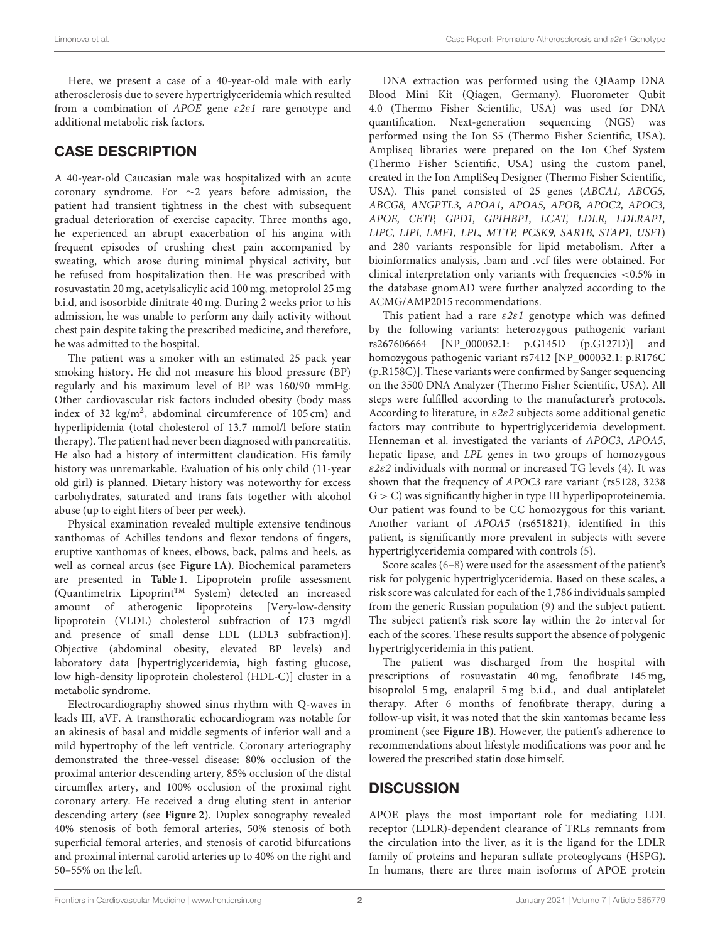Here, we present a case of a 40-year-old male with early atherosclerosis due to severe hypertriglyceridemia which resulted from a combination of APOE gene ε2ε1 rare genotype and additional metabolic risk factors.

# CASE DESCRIPTION

A 40-year-old Caucasian male was hospitalized with an acute coronary syndrome. For ∼2 years before admission, the patient had transient tightness in the chest with subsequent gradual deterioration of exercise capacity. Three months ago, he experienced an abrupt exacerbation of his angina with frequent episodes of crushing chest pain accompanied by sweating, which arose during minimal physical activity, but he refused from hospitalization then. He was prescribed with rosuvastatin 20 mg, acetylsalicylic acid 100 mg, metoprolol 25 mg b.i.d, and isosorbide dinitrate 40 mg. During 2 weeks prior to his admission, he was unable to perform any daily activity without chest pain despite taking the prescribed medicine, and therefore, he was admitted to the hospital.

The patient was a smoker with an estimated 25 pack year smoking history. He did not measure his blood pressure (BP) regularly and his maximum level of BP was 160/90 mmHg. Other cardiovascular risk factors included obesity (body mass index of 32  $\text{kg/m}^2$ , abdominal circumference of 105 cm) and hyperlipidemia (total cholesterol of 13.7 mmol/l before statin therapy). The patient had never been diagnosed with pancreatitis. He also had a history of intermittent claudication. His family history was unremarkable. Evaluation of his only child (11-year old girl) is planned. Dietary history was noteworthy for excess carbohydrates, saturated and trans fats together with alcohol abuse (up to eight liters of beer per week).

Physical examination revealed multiple extensive tendinous xanthomas of Achilles tendons and flexor tendons of fingers, eruptive xanthomas of knees, elbows, back, palms and heels, as well as corneal arcus (see **[Figure 1A](#page-2-0)**). Biochemical parameters are presented in **[Table 1](#page-2-1)**. Lipoprotein profile assessment (Quantimetrix Lipoprint<sup>TM</sup> System) detected an increased amount of atherogenic lipoproteins [Very-low-density lipoprotein (VLDL) cholesterol subfraction of 173 mg/dl and presence of small dense LDL (LDL3 subfraction)]. Objective (abdominal obesity, elevated BP levels) and laboratory data [hypertriglyceridemia, high fasting glucose, low high-density lipoprotein cholesterol (HDL-C)] cluster in a metabolic syndrome.

Electrocardiography showed sinus rhythm with Q-waves in leads III, aVF. A transthoratic echocardiogram was notable for an akinesis of basal and middle segments of inferior wall and a mild hypertrophy of the left ventricle. Coronary arteriography demonstrated the three-vessel disease: 80% occlusion of the proximal anterior descending artery, 85% occlusion of the distal circumflex artery, and 100% occlusion of the proximal right coronary artery. He received a drug eluting stent in anterior descending artery (see **[Figure 2](#page-2-2)**). Duplex sonography revealed 40% stenosis of both femoral arteries, 50% stenosis of both superficial femoral arteries, and stenosis of carotid bifurcations and proximal internal carotid arteries up to 40% on the right and 50–55% on the left.

DNA extraction was performed using the QIAamp DNA Blood Mini Kit (Qiagen, Germany). Fluorometer Qubit 4.0 (Thermo Fisher Scientific, USA) was used for DNA quantification. Next-generation sequencing (NGS) was performed using the Ion S5 (Thermo Fisher Scientific, USA). Ampliseq libraries were prepared on the Ion Chef System (Thermo Fisher Scientific, USA) using the custom panel, created in the Ion AmpliSeq Designer (Thermo Fisher Scientific, USA). This panel consisted of 25 genes (ABCA1, ABCG5, ABCG8, ANGPTL3, APOA1, APOA5, APOB, APOC2, APOC3, APOE, CETP, GPD1, GPIHBP1, LCAT, LDLR, LDLRAP1, LIPC, LIPI, LMF1, LPL, MTTP, PCSK9, SAR1B, STAP1, USF1) and 280 variants responsible for lipid metabolism. After a bioinformatics analysis, .bam and .vcf files were obtained. For clinical interpretation only variants with frequencies <0.5% in the database gnomAD were further analyzed according to the ACMG/AMP2015 recommendations.

This patient had a rare  $\varepsilon 2\varepsilon 1$  genotype which was defined by the following variants: heterozygous pathogenic variant rs267606664 [NP\_000032.1: p.G145D (p.G127D)] and homozygous pathogenic variant rs7412 [NP\_000032.1: p.R176C (p.R158C)]. These variants were confirmed by Sanger sequencing on the 3500 DNA Analyzer (Thermo Fisher Scientific, USA). All steps were fulfilled according to the manufacturer's protocols. According to literature, in  $\varepsilon 2\varepsilon 2$  subjects some additional genetic factors may contribute to hypertriglyceridemia development. Henneman et al. investigated the variants of APOC3, APOA5, hepatic lipase, and LPL genes in two groups of homozygous  $\epsilon$ 2 $\epsilon$ 2 individuals with normal or increased TG levels [\(4\)](#page-4-3). It was shown that the frequency of APOC3 rare variant (rs5128, 3238  $G > C$ ) was significantly higher in type III hyperlipoproteinemia. Our patient was found to be CC homozygous for this variant. Another variant of APOA5 (rs651821), identified in this patient, is significantly more prevalent in subjects with severe hypertriglyceridemia compared with controls [\(5\)](#page-4-4).

Score scales [\(6–](#page-4-5)[8\)](#page-4-6) were used for the assessment of the patient's risk for polygenic hypertriglyceridemia. Based on these scales, a risk score was calculated for each of the 1,786 individuals sampled from the generic Russian population [\(9\)](#page-4-7) and the subject patient. The subject patient's risk score lay within the 2σ interval for each of the scores. These results support the absence of polygenic hypertriglyceridemia in this patient.

The patient was discharged from the hospital with prescriptions of rosuvastatin 40 mg, fenofibrate 145 mg, bisoprolol 5 mg, enalapril 5 mg b.i.d., and dual antiplatelet therapy. After 6 months of fenofibrate therapy, during a follow-up visit, it was noted that the skin xantomas became less prominent (see **[Figure 1B](#page-2-0)**). However, the patient's adherence to recommendations about lifestyle modifications was poor and he lowered the prescribed statin dose himself.

## **DISCUSSION**

APOE plays the most important role for mediating LDL receptor (LDLR)-dependent clearance of TRLs remnants from the circulation into the liver, as it is the ligand for the LDLR family of proteins and heparan sulfate proteoglycans (HSPG). In humans, there are three main isoforms of APOE protein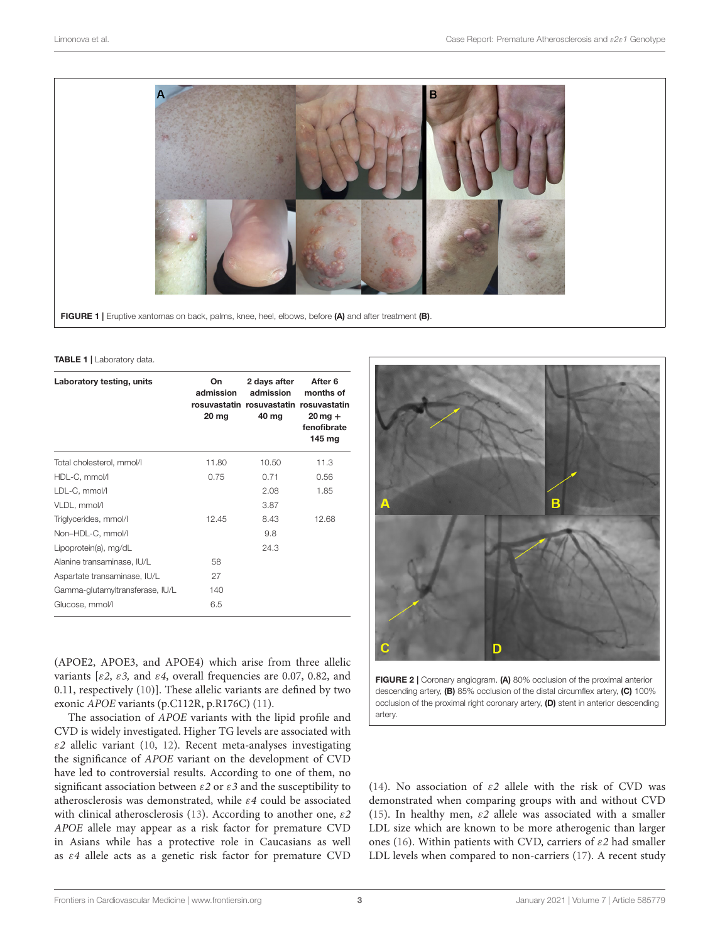

<span id="page-2-0"></span>FIGURE 1 | Eruptive xantomas on back, palms, knee, heel, elbows, before (A) and after treatment (B).

#### <span id="page-2-1"></span>TABLE 1 | Laboratory data.

| Laboratory testing, units       | On<br>admission<br>$20 \,\mathrm{mg}$ | 2 days after<br>admission<br>rosuvastatin rosuvastatin rosuvastatin<br>40 mg | After 6<br>months of<br>$20$ mg $+$<br>fenofibrate<br>145 mg |
|---------------------------------|---------------------------------------|------------------------------------------------------------------------------|--------------------------------------------------------------|
| Total cholesterol, mmol/l       | 11.80                                 | 10.50                                                                        | 11.3                                                         |
| HDL-C, mmol/l                   | 0.75                                  | 0.71                                                                         | 0.56                                                         |
| LDL-C, mmol/l                   |                                       | 2.08                                                                         | 1.85                                                         |
| VLDL, mmol/l                    |                                       | 3.87                                                                         |                                                              |
| Triglycerides, mmol/l           | 12.45                                 | 8.43                                                                         | 12.68                                                        |
| Non-HDL-C, mmol/l               |                                       | 9.8                                                                          |                                                              |
| Lipoprotein(a), mg/dL           |                                       | 24.3                                                                         |                                                              |
| Alanine transaminase, IU/L      | 58                                    |                                                                              |                                                              |
| Aspartate transaminase, IU/L    | 27                                    |                                                                              |                                                              |
| Gamma-glutamyltransferase, IU/L | 140                                   |                                                                              |                                                              |
| Glucose, mmol/l                 | 6.5                                   |                                                                              |                                                              |

(APOE2, APOE3, and APOE4) which arise from three allelic variants [ $\epsilon$ 2,  $\epsilon$ 3, and  $\epsilon$ 4, overall frequencies are 0.07, 0.82, and 0.11, respectively [\(10\)](#page-4-8)]. These allelic variants are defined by two exonic APOE variants (p.C112R, p.R176C) [\(11\)](#page-4-9).

The association of APOE variants with the lipid profile and CVD is widely investigated. Higher TG levels are associated with  $\varepsilon$ 2 allelic variant [\(10,](#page-4-8) [12\)](#page-4-10). Recent meta-analyses investigating the significance of APOE variant on the development of CVD have led to controversial results. According to one of them, no significant association between  $\varepsilon$ 2 or  $\varepsilon$ 3 and the susceptibility to atherosclerosis was demonstrated, while ε4 could be associated with clinical atherosclerosis [\(13\)](#page-4-11). According to another one,  $\varepsilon$ 2 APOE allele may appear as a risk factor for premature CVD in Asians while has a protective role in Caucasians as well as ε4 allele acts as a genetic risk factor for premature CVD



<span id="page-2-2"></span>FIGURE 2 | Coronary angiogram. (A) 80% occlusion of the proximal anterior descending artery, (B) 85% occlusion of the distal circumflex artery, (C) 100% occlusion of the proximal right coronary artery, (D) stent in anterior descending artery.

[\(14\)](#page-4-12). No association of  $\varepsilon$ 2 allele with the risk of CVD was demonstrated when comparing groups with and without CVD [\(15\)](#page-4-13). In healthy men,  $\varepsilon$ 2 allele was associated with a smaller LDL size which are known to be more atherogenic than larger ones [\(16\)](#page-4-14). Within patients with CVD, carriers of  $\varepsilon$ 2 had smaller LDL levels when compared to non-carriers [\(17\)](#page-4-15). A recent study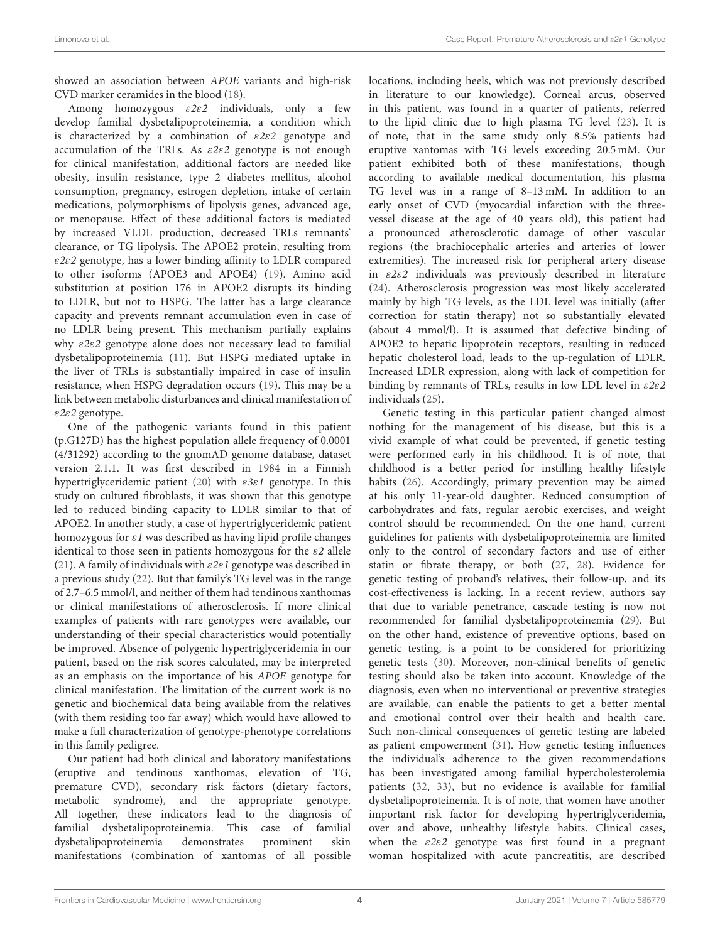showed an association between APOE variants and high-risk CVD marker ceramides in the blood [\(18\)](#page-4-16).

Among homozygous  $\epsilon 2\varepsilon 2$  individuals, only a few develop familial dysbetalipoproteinemia, a condition which is characterized by a combination of  $\varepsilon 2\varepsilon 2$  genotype and accumulation of the TRLs. As  $\varepsilon 2\varepsilon 2$  genotype is not enough for clinical manifestation, additional factors are needed like obesity, insulin resistance, type 2 diabetes mellitus, alcohol consumption, pregnancy, estrogen depletion, intake of certain medications, polymorphisms of lipolysis genes, advanced age, or menopause. Effect of these additional factors is mediated by increased VLDL production, decreased TRLs remnants' clearance, or TG lipolysis. The APOE2 protein, resulting from  $\epsilon$ 2 $\epsilon$ 2 genotype, has a lower binding affinity to LDLR compared to other isoforms (APOE3 and APOE4) [\(19\)](#page-4-17). Amino acid substitution at position 176 in APOE2 disrupts its binding to LDLR, but not to HSPG. The latter has a large clearance capacity and prevents remnant accumulation even in case of no LDLR being present. This mechanism partially explains why  $\epsilon$ 2 $\epsilon$ 2 genotype alone does not necessary lead to familial dysbetalipoproteinemia [\(11\)](#page-4-9). But HSPG mediated uptake in the liver of TRLs is substantially impaired in case of insulin resistance, when HSPG degradation occurs [\(19\)](#page-4-17). This may be a link between metabolic disturbances and clinical manifestation of ε2ε2 genotype.

One of the pathogenic variants found in this patient (p.G127D) has the highest population allele frequency of 0.0001 (4/31292) according to the gnomAD genome database, dataset version 2.1.1. It was first described in 1984 in a Finnish hypertriglyceridemic patient [\(20\)](#page-4-18) with  $\varepsilon 3\varepsilon 1$  genotype. In this study on cultured fibroblasts, it was shown that this genotype led to reduced binding capacity to LDLR similar to that of APOE2. In another study, a case of hypertriglyceridemic patient homozygous for  $\varepsilon$ 1 was described as having lipid profile changes identical to those seen in patients homozygous for the  $\varepsilon$ 2 allele [\(21\)](#page-4-19). A family of individuals with  $\varepsilon$ 2 $\varepsilon$ 1 genotype was described in a previous study [\(22\)](#page-4-20). But that family's TG level was in the range of 2.7–6.5 mmol/l, and neither of them had tendinous xanthomas or clinical manifestations of atherosclerosis. If more clinical examples of patients with rare genotypes were available, our understanding of their special characteristics would potentially be improved. Absence of polygenic hypertriglyceridemia in our patient, based on the risk scores calculated, may be interpreted as an emphasis on the importance of his APOE genotype for clinical manifestation. The limitation of the current work is no genetic and biochemical data being available from the relatives (with them residing too far away) which would have allowed to make a full characterization of genotype-phenotype correlations in this family pedigree.

Our patient had both clinical and laboratory manifestations (eruptive and tendinous xanthomas, elevation of TG, premature CVD), secondary risk factors (dietary factors, metabolic syndrome), and the appropriate genotype. All together, these indicators lead to the diagnosis of familial dysbetalipoproteinemia. This case of familial dysbetalipoproteinemia demonstrates prominent skin manifestations (combination of xantomas of all possible locations, including heels, which was not previously described in literature to our knowledge). Corneal arcus, observed in this patient, was found in a quarter of patients, referred to the lipid clinic due to high plasma TG level [\(23\)](#page-4-21). It is of note, that in the same study only 8.5% patients had eruptive xantomas with TG levels exceeding 20.5 mM. Our patient exhibited both of these manifestations, though according to available medical documentation, his plasma TG level was in a range of 8–13 mM. In addition to an early onset of CVD (myocardial infarction with the threevessel disease at the age of 40 years old), this patient had a pronounced atherosclerotic damage of other vascular regions (the brachiocephalic arteries and arteries of lower extremities). The increased risk for peripheral artery disease in  $\epsilon$ 2 $\epsilon$ 2 individuals was previously described in literature [\(24\)](#page-5-0). Atherosclerosis progression was most likely accelerated mainly by high TG levels, as the LDL level was initially (after correction for statin therapy) not so substantially elevated (about 4 mmol/l). It is assumed that defective binding of APOE2 to hepatic lipoprotein receptors, resulting in reduced hepatic cholesterol load, leads to the up-regulation of LDLR. Increased LDLR expression, along with lack of competition for binding by remnants of TRLs, results in low LDL level in  $\varepsilon 2\varepsilon 2$ individuals [\(25\)](#page-5-1).

Genetic testing in this particular patient changed almost nothing for the management of his disease, but this is a vivid example of what could be prevented, if genetic testing were performed early in his childhood. It is of note, that childhood is a better period for instilling healthy lifestyle habits [\(26\)](#page-5-2). Accordingly, primary prevention may be aimed at his only 11-year-old daughter. Reduced consumption of carbohydrates and fats, regular aerobic exercises, and weight control should be recommended. On the one hand, current guidelines for patients with dysbetalipoproteinemia are limited only to the control of secondary factors and use of either statin or fibrate therapy, or both [\(27,](#page-5-3) [28\)](#page-5-4). Evidence for genetic testing of proband's relatives, their follow-up, and its cost-effectiveness is lacking. In a recent review, authors say that due to variable penetrance, cascade testing is now not recommended for familial dysbetalipoproteinemia [\(29\)](#page-5-5). But on the other hand, existence of preventive options, based on genetic testing, is a point to be considered for prioritizing genetic tests [\(30\)](#page-5-6). Moreover, non-clinical benefits of genetic testing should also be taken into account. Knowledge of the diagnosis, even when no interventional or preventive strategies are available, can enable the patients to get a better mental and emotional control over their health and health care. Such non-clinical consequences of genetic testing are labeled as patient empowerment [\(31\)](#page-5-7). How genetic testing influences the individual's adherence to the given recommendations has been investigated among familial hypercholesterolemia patients [\(32,](#page-5-8) [33\)](#page-5-9), but no evidence is available for familial dysbetalipoproteinemia. It is of note, that women have another important risk factor for developing hypertriglyceridemia, over and above, unhealthy lifestyle habits. Clinical cases, when the  $\epsilon 2\varepsilon 2$  genotype was first found in a pregnant woman hospitalized with acute pancreatitis, are described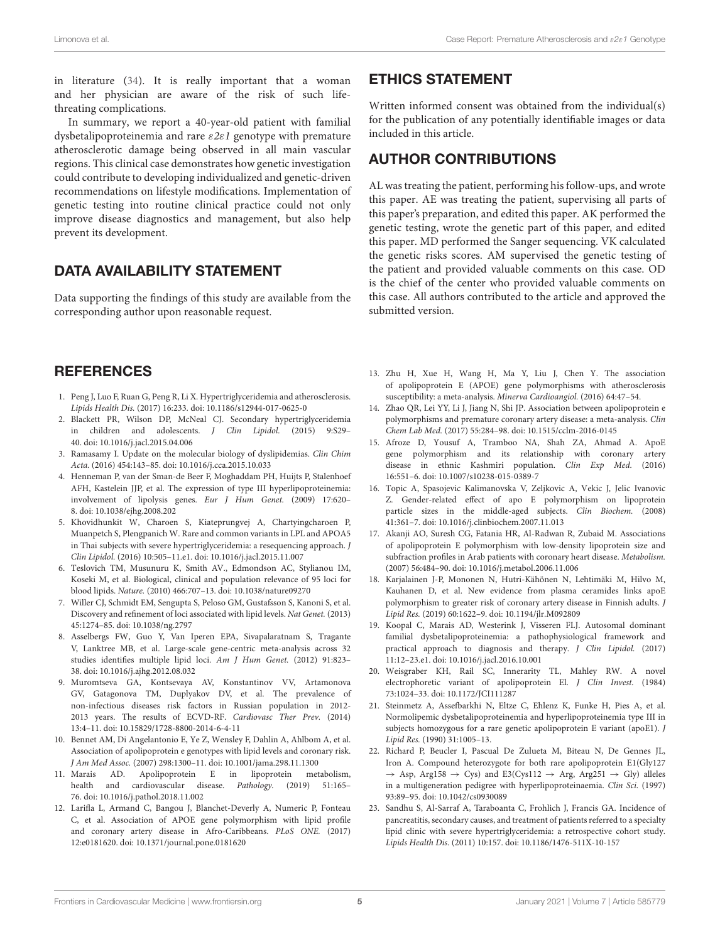in literature [\(34\)](#page-5-10). It is really important that a woman and her physician are aware of the risk of such lifethreating complications.

In summary, we report a 40-year-old patient with familial dysbetalipoproteinemia and rare ε2ε1 genotype with premature atherosclerotic damage being observed in all main vascular regions. This clinical case demonstrates how genetic investigation could contribute to developing individualized and genetic-driven recommendations on lifestyle modifications. Implementation of genetic testing into routine clinical practice could not only improve disease diagnostics and management, but also help prevent its development.

# DATA AVAILABILITY STATEMENT

Data supporting the findings of this study are available from the corresponding author upon reasonable request.

### **REFERENCES**

- <span id="page-4-0"></span>1. Peng J, Luo F, Ruan G, Peng R, Li X. Hypertriglyceridemia and atherosclerosis. Lipids Health Dis. (2017) 16:233. doi: [10.1186/s12944-017-0625-0](https://doi.org/10.1186/s12944-017-0625-0)
- <span id="page-4-1"></span>2. Blackett PR, Wilson DP, McNeal CJ. Secondary hypertriglyceridemia in children and adolescents. J Clin Lipidol. (2015) 9:S29– 40. doi: [10.1016/j.jacl.2015.04.006](https://doi.org/10.1016/j.jacl.2015.04.006)
- <span id="page-4-2"></span>3. Ramasamy I. Update on the molecular biology of dyslipidemias. Clin Chim Acta. (2016) 454:143–85. doi: [10.1016/j.cca.2015.10.033](https://doi.org/10.1016/j.cca.2015.10.033)
- <span id="page-4-3"></span>4. Henneman P, van der Sman-de Beer F, Moghaddam PH, Huijts P, Stalenhoef AFH, Kastelein JJP, et al. The expression of type III hyperlipoproteinemia: involvement of lipolysis genes. Eur J Hum Genet. (2009) 17:620– 8. doi: [10.1038/ejhg.2008.202](https://doi.org/10.1038/ejhg.2008.202)
- <span id="page-4-4"></span>5. Khovidhunkit W, Charoen S, Kiateprungvej A, Chartyingcharoen P, Muanpetch S, Plengpanich W. Rare and common variants in LPL and APOA5 in Thai subjects with severe hypertriglyceridemia: a resequencing approach. J Clin Lipidol. (2016) 10:505–11.e1. doi: [10.1016/j.jacl.2015.11.007](https://doi.org/10.1016/j.jacl.2015.11.007)
- <span id="page-4-5"></span>6. Teslovich TM, Musunuru K, Smith AV., Edmondson AC, Stylianou IM, Koseki M, et al. Biological, clinical and population relevance of 95 loci for blood lipids. Nature. (2010) 466:707–13. doi: [10.1038/nature09270](https://doi.org/10.1038/nature09270)
- 7. Willer CJ, Schmidt EM, Sengupta S, Peloso GM, Gustafsson S, Kanoni S, et al. Discovery and refinement of loci associated with lipid levels. Nat Genet. (2013) 45:1274–85. doi: [10.1038/ng.2797](https://doi.org/10.1038/ng.2797)
- <span id="page-4-6"></span>8. Asselbergs FW, Guo Y, Van Iperen EPA, Sivapalaratnam S, Tragante V, Lanktree MB, et al. Large-scale gene-centric meta-analysis across 32 studies identifies multiple lipid loci. Am J Hum Genet. (2012) 91:823– 38. doi: [10.1016/j.ajhg.2012.08.032](https://doi.org/10.1016/j.ajhg.2012.08.032)
- <span id="page-4-7"></span>9. Muromtseva GA, Kontsevaya AV, Konstantinov VV, Artamonova GV, Gatagonova TM, Duplyakov DV, et al. The prevalence of non-infectious diseases risk factors in Russian population in 2012- 2013 years. The results of ECVD-RF. Cardiovasc Ther Prev. (2014) 13:4–11. doi: [10.15829/1728-8800-2014-6-4-11](https://doi.org/10.15829/1728-8800-2014-6-4-11)
- <span id="page-4-8"></span>10. Bennet AM, Di Angelantonio E, Ye Z, Wensley F, Dahlin A, Ahlbom A, et al. Association of apolipoprotein e genotypes with lipid levels and coronary risk. J Am Med Assoc. (2007) 298:1300–11. doi: [10.1001/jama.298.11.1300](https://doi.org/10.1001/jama.298.11.1300)
- <span id="page-4-9"></span>11. Marais AD. Apolipoprotein E in lipoprotein metabolism, health and cardiovascular disease. Pathology. (2019) 51:165– 76. doi: [10.1016/j.pathol.2018.11.002](https://doi.org/10.1016/j.pathol.2018.11.002)
- <span id="page-4-10"></span>12. Larifla L, Armand C, Bangou J, Blanchet-Deverly A, Numeric P, Fonteau C, et al. Association of APOE gene polymorphism with lipid profile and coronary artery disease in Afro-Caribbeans. PLoS ONE. (2017) 12:e0181620. doi: [10.1371/journal.pone.0181620](https://doi.org/10.1371/journal.pone.0181620)

### ETHICS STATEMENT

Written informed consent was obtained from the individual(s) for the publication of any potentially identifiable images or data included in this article.

## AUTHOR CONTRIBUTIONS

AL was treating the patient, performing his follow-ups, and wrote this paper. AE was treating the patient, supervising all parts of this paper's preparation, and edited this paper. AK performed the genetic testing, wrote the genetic part of this paper, and edited this paper. MD performed the Sanger sequencing. VK calculated the genetic risks scores. AM supervised the genetic testing of the patient and provided valuable comments on this case. OD is the chief of the center who provided valuable comments on this case. All authors contributed to the article and approved the submitted version.

- <span id="page-4-11"></span>13. Zhu H, Xue H, Wang H, Ma Y, Liu J, Chen Y. The association of apolipoprotein E (APOE) gene polymorphisms with atherosclerosis susceptibility: a meta-analysis. Minerva Cardioangiol. (2016) 64:47–54.
- <span id="page-4-12"></span>14. Zhao QR, Lei YY, Li J, Jiang N, Shi JP. Association between apolipoprotein e polymorphisms and premature coronary artery disease: a meta-analysis. Clin Chem Lab Med. (2017) 55:284–98. doi: [10.1515/cclm-2016-0145](https://doi.org/10.1515/cclm-2016-0145)
- <span id="page-4-13"></span>15. Afroze D, Yousuf A, Tramboo NA, Shah ZA, Ahmad A. ApoE gene polymorphism and its relationship with coronary artery disease in ethnic Kashmiri population. Clin Exp Med. (2016) 16:551–6. doi: [10.1007/s10238-015-0389-7](https://doi.org/10.1007/s10238-015-0389-7)
- <span id="page-4-14"></span>16. Topic A, Spasojevic Kalimanovska V, Zeljkovic A, Vekic J, Jelic Ivanovic Z. Gender-related effect of apo E polymorphism on lipoprotein particle sizes in the middle-aged subjects. Clin Biochem. (2008) 41:361–7. doi: [10.1016/j.clinbiochem.2007.11.013](https://doi.org/10.1016/j.clinbiochem.2007.11.013)
- <span id="page-4-15"></span>17. Akanji AO, Suresh CG, Fatania HR, Al-Radwan R, Zubaid M. Associations of apolipoprotein E polymorphism with low-density lipoprotein size and subfraction profiles in Arab patients with coronary heart disease. Metabolism. (2007) 56:484–90. doi: [10.1016/j.metabol.2006.11.006](https://doi.org/10.1016/j.metabol.2006.11.006)
- <span id="page-4-16"></span>18. Karjalainen J-P, Mononen N, Hutri-Kähönen N, Lehtimäki M, Hilvo M, Kauhanen D, et al. New evidence from plasma ceramides links apoE polymorphism to greater risk of coronary artery disease in Finnish adults. J Lipid Res. (2019) 60:1622–9. doi: [10.1194/jlr.M092809](https://doi.org/10.1194/jlr.M092809)
- <span id="page-4-17"></span>19. Koopal C, Marais AD, Westerink J, Visseren FLJ. Autosomal dominant familial dysbetalipoproteinemia: a pathophysiological framework and practical approach to diagnosis and therapy. J Clin Lipidol. (2017) 11:12–23.e1. doi: [10.1016/j.jacl.2016.10.001](https://doi.org/10.1016/j.jacl.2016.10.001)
- <span id="page-4-18"></span>20. Weisgraber KH, Rail SC, Innerarity TL, Mahley RW. A novel electrophoretic variant of apolipoprotein El. J Clin Invest. (1984) 73:1024–33. doi: [10.1172/JCI111287](https://doi.org/10.1172/JCI111287)
- <span id="page-4-19"></span>21. Steinmetz A, Assefbarkhi N, Eltze C, Ehlenz K, Funke H, Pies A, et al. Normolipemic dysbetalipoproteinemia and hyperlipoproteinemia type III in subjects homozygous for a rare genetic apolipoprotein E variant (apoE1). J Lipid Res. (1990) 31:1005–13.
- <span id="page-4-20"></span>22. Richard P, Beucler I, Pascual De Zulueta M, Biteau N, De Gennes JL, Iron A. Compound heterozygote for both rare apolipoprotein E1(Gly127  $\rightarrow$  Asp, Arg158  $\rightarrow$  Cys) and E3(Cys112  $\rightarrow$  Arg, Arg251  $\rightarrow$  Gly) alleles in a multigeneration pedigree with hyperlipoproteinaemia. Clin Sci. (1997) 93:89–95. doi: [10.1042/cs0930089](https://doi.org/10.1042/cs0930089)
- <span id="page-4-21"></span>23. Sandhu S, Al-Sarraf A, Taraboanta C, Frohlich J, Francis GA. Incidence of pancreatitis, secondary causes, and treatment of patients referred to a specialty lipid clinic with severe hypertriglyceridemia: a retrospective cohort study. Lipids Health Dis. (2011) 10:157. doi: [10.1186/1476-511X-10-157](https://doi.org/10.1186/1476-511X-10-157)